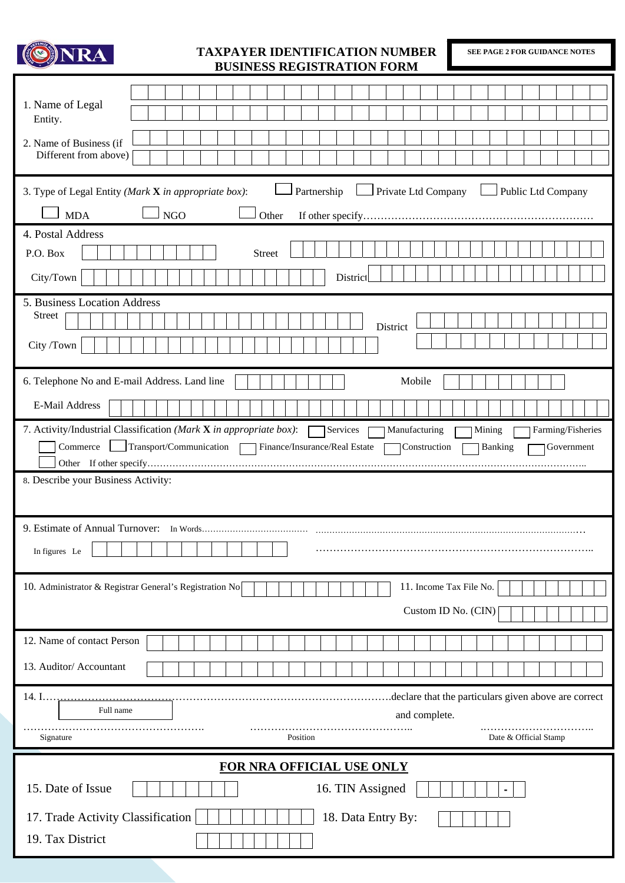

## **TAXPAYER IDENTIFICATION NUMBER BUSINESS REGISTRATION FORM**

**SEE PAGE 2 FOR GUIDANCE NOTES** 

I

| BUƏINEƏƏ KEUIƏTKATIUN FUKNI                                                                                                                                                                                                                    |
|------------------------------------------------------------------------------------------------------------------------------------------------------------------------------------------------------------------------------------------------|
| 1. Name of Legal<br>Entity.<br>2. Name of Business (if<br>Different from above)                                                                                                                                                                |
| Partnership<br>Private Ltd Company<br>Public Ltd Company<br>3. Type of Legal Entity (Mark X in appropriate box):<br>$\overline{\phantom{a}}$ NGO<br><b>MDA</b><br>Other                                                                        |
| 4. Postal Address<br>P.O. Box<br><b>Street</b><br>City/Town<br>District                                                                                                                                                                        |
| 5. Business Location Address<br>Street<br>District<br>City /Town                                                                                                                                                                               |
| 6. Telephone No and E-mail Address. Land line<br>Mobile<br>E-Mail Address                                                                                                                                                                      |
| 7. Activity/Industrial Classification (Mark X in appropriate box):<br>Manufacturing<br>Farming/Fisheries<br>Services<br>Mining<br>Transport/Communication   Finance/Insurance/Real Estate<br>Commerce<br>Construction<br>Banking<br>Government |
| 8. Describe your Business Activity:                                                                                                                                                                                                            |
| In figures Le                                                                                                                                                                                                                                  |
| 10. Administrator & Registrar General's Registration No<br>11. Income Tax File No.<br>Custom ID No. (CIN)                                                                                                                                      |
| 12. Name of contact Person<br>13. Auditor/ Accountant                                                                                                                                                                                          |
| declare that the particulars given above are correct<br>14. I<br>Full name<br>and complete.<br>Signature<br>Position<br>Date & Official Stamp                                                                                                  |
| FOR NRA OFFICIAL USE ONLY<br>15. Date of Issue<br>16. TIN Assigned<br>$\blacksquare$<br>17. Trade Activity Classification<br>18. Data Entry By:<br>19. Tax District                                                                            |